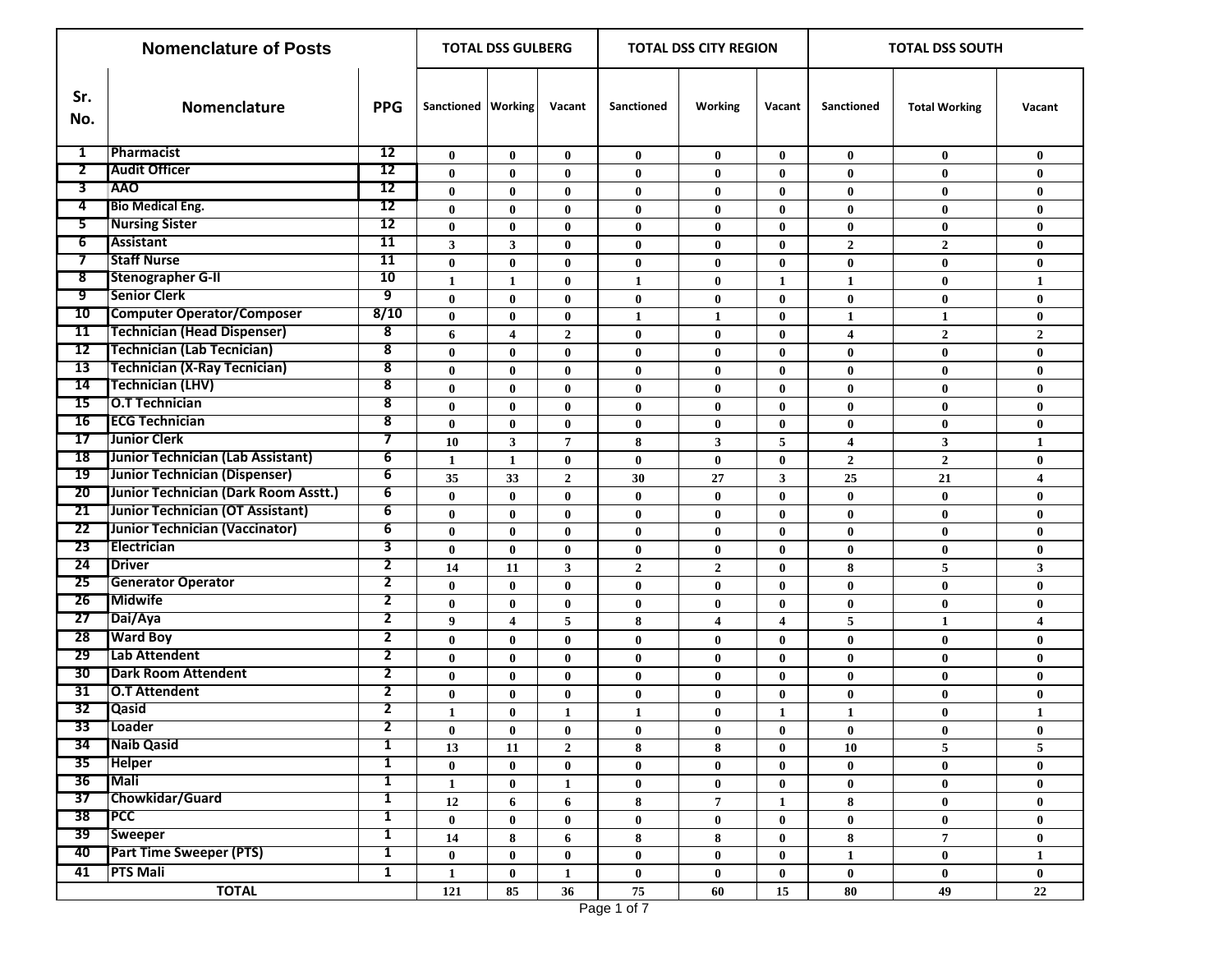|                 | <b>Nomenclature of Posts</b>         | <b>TOTAL DSS GULBERG</b> |                      |                         |                | <b>TOTAL DSS CITY REGION</b> |                         | <b>TOTAL DSS SOUTH</b> |                         |                      |                |
|-----------------|--------------------------------------|--------------------------|----------------------|-------------------------|----------------|------------------------------|-------------------------|------------------------|-------------------------|----------------------|----------------|
| Sr.<br>No.      | Nomenclature                         | <b>PPG</b>               | Sanctioned   Working |                         | Vacant         | Sanctioned                   | Working                 | Vacant                 | Sanctioned              | <b>Total Working</b> | Vacant         |
| 1               | Pharmacist                           | 12                       | $\bf{0}$             | $\bf{0}$                | $\bf{0}$       | $\bf{0}$                     | $\bf{0}$                | $\bf{0}$               | $\bf{0}$                | $\bf{0}$             | $\bf{0}$       |
| $\mathbf{z}$    | <b>Audit Officer</b>                 | 12                       | 0                    | $\bf{0}$                | $\bf{0}$       | $\bf{0}$                     | $\bf{0}$                | 0                      | $\mathbf{0}$            | $\bf{0}$             | $\bf{0}$       |
| 3               | <b>AAO</b>                           | 12                       | $\bf{0}$             | $\bf{0}$                | $\bf{0}$       | $\bf{0}$                     | $\bf{0}$                | $\bf{0}$               | $\bf{0}$                | $\bf{0}$             | $\bf{0}$       |
| 4               | <b>Bio Medical Eng.</b>              | 12                       | $\bf{0}$             | $\bf{0}$                | $\bf{0}$       | $\bf{0}$                     | $\bf{0}$                | $\bf{0}$               | $\bf{0}$                | $\bf{0}$             | $\bf{0}$       |
| 5               | <b>Nursing Sister</b>                | $\overline{12}$          | $\bf{0}$             | $\bf{0}$                | $\bf{0}$       | $\bf{0}$                     | $\bf{0}$                | $\mathbf{0}$           | $\bf{0}$                | $\bf{0}$             | $\bf{0}$       |
| $\overline{6}$  | <b>Assistant</b>                     | 11                       | 3 <sup>1</sup>       | 3                       | $\bf{0}$       | $\bf{0}$                     | $\bf{0}$                | $\bf{0}$               | $\overline{2}$          | $\mathbf{2}$         | $\bf{0}$       |
| 7               | <b>Staff Nurse</b>                   | 11                       | $\bf{0}$             | $\bf{0}$                | $\bf{0}$       | $\bf{0}$                     | $\bf{0}$                | $\bf{0}$               | $\bf{0}$                | $\bf{0}$             | $\bf{0}$       |
| 8               | <b>Stenographer G-II</b>             | 10                       | $\mathbf{1}$         | $\mathbf{1}$            | $\bf{0}$       | $\mathbf{1}$                 | $\bf{0}$                | 1                      | $\mathbf{1}$            | $\bf{0}$             | 1              |
| 9               | <b>Senior Clerk</b>                  | 9                        | $\bf{0}$             | $\bf{0}$                | $\bf{0}$       | $\bf{0}$                     | $\bf{0}$                | $\bf{0}$               | $\bf{0}$                | $\bf{0}$             | $\bf{0}$       |
| 10              | <b>Computer Operator/Composer</b>    | 8/10                     | $\bf{0}$             | $\bf{0}$                | $\bf{0}$       | $\mathbf{1}$                 | 1                       | $\bf{0}$               | $\mathbf{1}$            | $\mathbf{1}$         | $\bf{0}$       |
| 11              | <b>Technician (Head Dispenser)</b>   | 8                        | 6                    | $\overline{\mathbf{4}}$ | $\overline{2}$ | $\bf{0}$                     | $\bf{0}$                | $\bf{0}$               | $\overline{\mathbf{4}}$ | $\overline{2}$       | $\overline{2}$ |
| 12              | <b>Technician (Lab Tecnician)</b>    | 8                        | $\bf{0}$             | $\bf{0}$                | $\bf{0}$       | $\bf{0}$                     | $\bf{0}$                | $\bf{0}$               | $\bf{0}$                | $\bf{0}$             | $\bf{0}$       |
| 13              | <b>Technician (X-Ray Tecnician)</b>  | 8                        | $\bf{0}$             | $\bf{0}$                | $\bf{0}$       | $\bf{0}$                     | $\bf{0}$                | $\bf{0}$               | $\bf{0}$                | $\bf{0}$             | $\bf{0}$       |
| 14              | <b>Technician (LHV)</b>              | 8                        | $\bf{0}$             | $\bf{0}$                | $\bf{0}$       | $\bf{0}$                     | $\bf{0}$                | $\bf{0}$               | $\bf{0}$                | $\bf{0}$             | $\bf{0}$       |
| 15              | <b>O.T Technician</b>                | 8                        | $\bf{0}$             | $\bf{0}$                | $\bf{0}$       | $\bf{0}$                     | $\bf{0}$                | $\bf{0}$               | $\bf{0}$                | $\bf{0}$             | $\bf{0}$       |
| 16              | <b>ECG Technician</b>                | 8                        | $\bf{0}$             | $\bf{0}$                | $\bf{0}$       | $\bf{0}$                     | $\bf{0}$                | $\bf{0}$               | $\bf{0}$                | $\bf{0}$             | $\bf{0}$       |
| 17              | <b>Junior Clerk</b>                  | 7                        | 10                   | $\mathbf{3}$            | $\overline{7}$ | 8                            | 3                       | 5                      | $\overline{\mathbf{4}}$ | 3                    | $\mathbf{1}$   |
| 18              | Junior Technician (Lab Assistant)    | 6                        | $\mathbf{1}$         | $\mathbf{1}$            | $\bf{0}$       | $\bf{0}$                     | $\bf{0}$                | $\bf{0}$               | $\overline{2}$          | $\mathbf 2$          | $\bf{0}$       |
| 19              | Junior Technician (Dispenser)        | 6                        | 35                   | 33                      | $\overline{2}$ | 30                           | 27                      | 3                      | 25                      | 21                   | 4              |
| 20 <sub>2</sub> | Junior Technician (Dark Room Asstt.) | 6                        | $\bf{0}$             | $\bf{0}$                | $\bf{0}$       | $\bf{0}$                     | $\bf{0}$                | $\bf{0}$               | $\bf{0}$                | $\bf{0}$             | $\bf{0}$       |
| 21              | Junior Technician (OT Assistant)     | $\overline{6}$           | $\bf{0}$             | $\bf{0}$                | $\bf{0}$       | $\bf{0}$                     | $\bf{0}$                | $\bf{0}$               | $\bf{0}$                | $\bf{0}$             | $\bf{0}$       |
| 22              | Junior Technician (Vaccinator)       | 6                        | $\bf{0}$             | $\bf{0}$                | $\bf{0}$       | $\bf{0}$                     | $\bf{0}$                | $\bf{0}$               | $\bf{0}$                | $\bf{0}$             | $\bf{0}$       |
| 23              | Electrician                          | 3                        | $\bf{0}$             | $\bf{0}$                | $\bf{0}$       | $\bf{0}$                     | $\bf{0}$                | $\bf{0}$               | $\bf{0}$                | $\bf{0}$             | $\bf{0}$       |
| 24              | <b>Driver</b>                        | 2                        | 14                   | 11                      | $\mathbf{3}$   | $\mathbf{2}$                 | $\mathbf{2}$            | $\bf{0}$               | 8                       | 5                    | 3              |
| 25              | <b>Generator Operator</b>            | 2                        | $\bf{0}$             | $\bf{0}$                | $\bf{0}$       | $\bf{0}$                     | $\bf{0}$                | $\bf{0}$               | $\bf{0}$                | $\bf{0}$             | $\bf{0}$       |
| 26              | <b>Midwife</b>                       | $\overline{2}$           | $\bf{0}$             | $\bf{0}$                | $\bf{0}$       | $\bf{0}$                     | $\bf{0}$                | $\bf{0}$               | $\bf{0}$                | $\bf{0}$             | $\bf{0}$       |
| 27              | Dai/Aya                              | $\overline{2}$           | $\boldsymbol{9}$     | $\overline{\mathbf{4}}$ | 5              | 8                            | $\overline{\mathbf{4}}$ | 4                      | 5                       | $\mathbf{1}$         | 4              |
| 28              | <b>Ward Boy</b>                      | $\overline{\mathbf{2}}$  | $\bf{0}$             | $\bf{0}$                | $\bf{0}$       | $\bf{0}$                     | $\bf{0}$                | $\bf{0}$               | $\bf{0}$                | $\bf{0}$             | $\bf{0}$       |
| 29              | Lab Attendent                        | $\overline{2}$           | $\bf{0}$             | $\bf{0}$                | $\bf{0}$       | $\bf{0}$                     | $\bf{0}$                | $\bf{0}$               | $\bf{0}$                | $\bf{0}$             | $\bf{0}$       |
| 30              | <b>Dark Room Attendent</b>           | $\overline{\mathbf{2}}$  | $\bf{0}$             | $\bf{0}$                | $\bf{0}$       | $\bf{0}$                     | $\bf{0}$                | $\bf{0}$               | $\bf{0}$                | $\bf{0}$             | $\bf{0}$       |
| 31              | <b>O.T Attendent</b>                 | $\overline{\mathbf{2}}$  | $\bf{0}$             | $\bf{0}$                | $\bf{0}$       | $\bf{0}$                     | $\bf{0}$                | $\bf{0}$               | $\bf{0}$                | $\bf{0}$             | $\bf{0}$       |
| 32              | <b>Qasid</b>                         | 2                        | $\mathbf{1}$         | $\bf{0}$                | $\mathbf{1}$   | $\mathbf{1}$                 | $\bf{0}$                | $\mathbf{1}$           | $\mathbf{1}$            | $\bf{0}$             | $\mathbf{1}$   |
| 33              | <b>Loader</b>                        | 2                        | $\bf{0}$             | $\bf{0}$                | $\bf{0}$       | $\bf{0}$                     | $\pmb{0}$               | $\bf{0}$               | $\bf{0}$                | $\pmb{0}$            | $\bf{0}$       |
| 34              | <b>Naib Qasid</b>                    | $\mathbf{1}$             | 13                   | 11                      | $\overline{2}$ | 8                            | 8                       | $\bf{0}$               | 10                      | 5                    | 5              |
| $35^-$          | <b>Helper</b>                        | 1                        | $\mathbf{0}$         | $\bf{0}$                | $\bf{0}$       | $\bf{0}$                     | $\bf{0}$                | $\bf{0}$               | $\bf{0}$                | $\bf{0}$             | $\bf{0}$       |
| 36              | Mali                                 | 1                        | $\mathbf{1}$         | $\bf{0}$                | $\mathbf{1}$   | $\bf{0}$                     | $\bf{0}$                | $\bf{0}$               | $\bf{0}$                | $\bf{0}$             | $\bf{0}$       |
| 37              | Chowkidar/Guard                      | $\overline{\mathbf{1}}$  | 12                   | 6                       | 6              | 8                            | $\overline{7}$          | $\mathbf{1}$           | 8                       | $\bf{0}$             | $\bf{0}$       |
| 38              | <b>PCC</b>                           | $\overline{\mathbf{1}}$  | $\bf{0}$             | $\bf{0}$                | $\bf{0}$       | $\bf{0}$                     | $\bf{0}$                | $\bf{0}$               | $\bf{0}$                | $\bf{0}$             | $\bf{0}$       |
| 39              | <b>Sweeper</b>                       | $\overline{\mathbf{1}}$  | 14                   | 8                       | 6              | 8                            | 8                       | $\bf{0}$               | 8                       | $\overline{7}$       | $\bf{0}$       |
| 40              | <b>Part Time Sweeper (PTS)</b>       | $\overline{\mathbf{1}}$  | $\bf{0}$             | $\bf{0}$                | $\bf{0}$       | $\bf{0}$                     | $\bf{0}$                | $\bf{0}$               | 1                       | $\bf{0}$             | $\mathbf{1}$   |
| 41              | <b>PTS Mali</b>                      | $\mathbf{1}$             | $\mathbf{1}$         | $\bf{0}$                | $\mathbf{1}$   | $\bf{0}$                     | $\bf{0}$                | $\mathbf{0}$           | $\bf{0}$                | $\bf{0}$             | $\bf{0}$       |
|                 | <b>TOTAL</b>                         |                          | 121                  | 85                      | 36             | 75                           | $\bf 60$                | 15                     | ${\bf 80}$              | 49                   | 22             |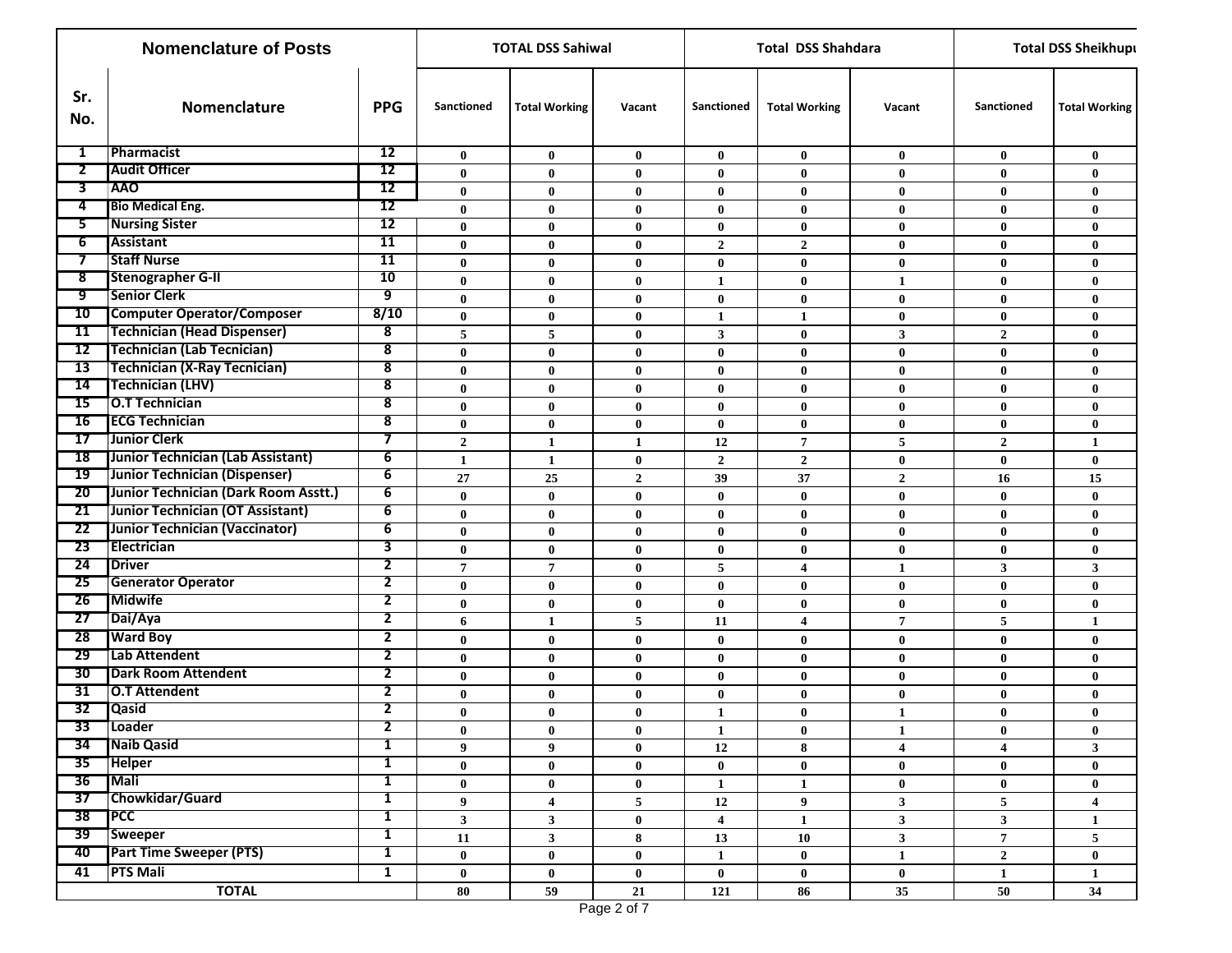|                | <b>Nomenclature of Posts</b>         |                         | <b>TOTAL DSS Sahiwal</b> |                      |                         | <b>Total DSS Shahdara</b> |                         | <b>Total DSS Sheikhupt</b> |                         |                         |
|----------------|--------------------------------------|-------------------------|--------------------------|----------------------|-------------------------|---------------------------|-------------------------|----------------------------|-------------------------|-------------------------|
| Sr.<br>No.     | Nomenclature                         | <b>PPG</b>              | <b>Sanctioned</b>        | <b>Total Working</b> | Vacant                  | Sanctioned                | <b>Total Working</b>    | Vacant                     | Sanctioned              | <b>Total Working</b>    |
| 1              | <b>Pharmacist</b>                    | 12                      | $\mathbf{0}$             | $\bf{0}$             | $\bf{0}$                | $\mathbf{0}$              | $\bf{0}$                | $\bf{0}$                   | $\bf{0}$                | $\bf{0}$                |
| $\overline{2}$ | <b>Audit Officer</b>                 | 12                      | $\mathbf{0}$             | $\bf{0}$             | $\bf{0}$                | $\bf{0}$                  | $\bf{0}$                | $\mathbf 0$                | $\bf{0}$                | $\bf{0}$                |
| 3              | <b>AAO</b>                           | 12                      | $\bf{0}$                 | $\bf{0}$             | $\bf{0}$                | $\bf{0}$                  | $\bf{0}$                | $\bf{0}$                   | $\bf{0}$                | $\bf{0}$                |
| 4              | <b>Bio Medical Eng.</b>              | 12                      | $\bf{0}$                 | $\bf{0}$             | $\bf{0}$                | $\bf{0}$                  | $\bf{0}$                | $\bf{0}$                   | $\mathbf 0$             | $\bf{0}$                |
| 5.             | <b>Nursing Sister</b>                | 12                      | $\bf{0}$                 | $\bf{0}$             | $\bf{0}$                | $\bf{0}$                  | $\bf{0}$                | $\bf{0}$                   | $\bf{0}$                | $\bf{0}$                |
| 6              | <b>Assistant</b>                     | 11                      | $\bf{0}$                 | $\bf{0}$             | $\bf{0}$                | $\overline{2}$            | $\mathbf{2}$            | $\bf{0}$                   | $\bf{0}$                | $\bf{0}$                |
| $\tau$         | <b>Staff Nurse</b>                   | 11                      | $\bf{0}$                 | $\bf{0}$             | $\bf{0}$                | $\bf{0}$                  | $\bf{0}$                | $\bf{0}$                   | $\bf{0}$                | $\bf{0}$                |
| $8^-$          | <b>Stenographer G-II</b>             | 10                      | $\bf{0}$                 | $\mathbf{0}$         | $\bf{0}$                | 1                         | $\bf{0}$                | $\mathbf{1}$               | $\bf{0}$                | $\bf{0}$                |
| ஏ              | <b>Senior Clerk</b>                  | 9                       | $\bf{0}$                 | $\bf{0}$             | $\bf{0}$                | $\bf{0}$                  | $\bf{0}$                | $\bf{0}$                   | $\bf{0}$                | $\bf{0}$                |
| 10             | <b>Computer Operator/Composer</b>    | 8/10                    | $\bf{0}$                 | $\bf{0}$             | $\bf{0}$                | $\mathbf{1}$              | $\mathbf{1}$            | $\bf{0}$                   | $\bf{0}$                | $\bf{0}$                |
| 11             | <b>Technician (Head Dispenser)</b>   | 8                       | 5                        | 5                    | $\bf{0}$                | 3                         | $\bf{0}$                | $\mathbf{3}$               | $\mathbf{2}$            | $\bf{0}$                |
| 12             | <b>Technician (Lab Tecnician)</b>    | 8                       | $\bf{0}$                 | $\bf{0}$             | $\bf{0}$                | $\bf{0}$                  | $\bf{0}$                | $\bf{0}$                   | $\bf{0}$                | $\bf{0}$                |
| 13             | <b>Technician (X-Ray Tecnician)</b>  | $\overline{\mathbf{8}}$ | $\bf{0}$                 | $\bf{0}$             | $\bf{0}$                | $\bf{0}$                  | $\bf{0}$                | $\bf{0}$                   | $\bf{0}$                | $\bf{0}$                |
| 14             | <b>Technician (LHV)</b>              | 8                       | $\bf{0}$                 | $\bf{0}$             | $\bf{0}$                | $\bf{0}$                  | $\bf{0}$                | $\bf{0}$                   | $\boldsymbol{0}$        | $\bf{0}$                |
| 15             | <b>O.T Technician</b>                | 8                       | $\bf{0}$                 | $\bf{0}$             | $\bf{0}$                | $\bf{0}$                  | $\bf{0}$                | $\bf{0}$                   | $\mathbf 0$             | $\bf{0}$                |
| 16             | <b>ECG Technician</b>                | 8                       | $\bf{0}$                 | $\bf{0}$             | $\bf{0}$                | $\mathbf{0}$              | $\bf{0}$                | $\bf{0}$                   | $\bf{0}$                | $\bf{0}$                |
| 17             | Junior Clerk                         | 7                       | $\mathbf{2}$             | $\mathbf{1}$         | $\mathbf{1}$            | 12                        | $\overline{7}$          | 5                          | $\mathbf{2}$            | 1                       |
| 18             | Junior Technician (Lab Assistant)    | 6                       | $\mathbf{1}$             | $\mathbf{1}$         | $\bf{0}$                | $\mathbf{2}$              | $\mathbf{2}$            | $\bf{0}$                   | $\bf{0}$                | $\bf{0}$                |
| 19             | Junior Technician (Dispenser)        | 6                       | 27                       | 25                   | $\overline{2}$          | 39                        | 37                      | $\overline{2}$             | 16                      | 15                      |
| $20-1$         | Junior Technician (Dark Room Asstt.) | 6                       | $\bf{0}$                 | $\bf{0}$             | $\bf{0}$                | $\bf{0}$                  | $\bf{0}$                | $\bf{0}$                   | $\bf{0}$                | $\bf{0}$                |
| 21             | Junior Technician (OT Assistant)     | $6\overline{6}$         | $\bf{0}$                 | $\bf{0}$             | $\bf{0}$                | $\bf{0}$                  | $\bf{0}$                | $\bf{0}$                   | $\bf{0}$                | $\bf{0}$                |
| 22             | Junior Technician (Vaccinator)       | 6                       | $\bf{0}$                 | $\bf{0}$             | $\bf{0}$                | $\bf{0}$                  | $\bf{0}$                | $\bf{0}$                   | $\bf{0}$                | $\bf{0}$                |
| 23             | Electrician                          | 3                       | $\bf{0}$                 | $\bf{0}$             | $\bf{0}$                | $\bf{0}$                  | $\bf{0}$                | $\bf{0}$                   | $\bf{0}$                | $\bf{0}$                |
| 24             | <b>Driver</b>                        | $\overline{\mathbf{2}}$ | 7                        | $\overline{7}$       | $\bf{0}$                | 5                         | 4                       | $\mathbf{1}$               | 3                       | $\mathbf{3}$            |
| 25             | <b>Generator Operator</b>            | 2                       | $\bf{0}$                 | $\bf{0}$             | $\bf{0}$                | $\bf{0}$                  | $\bf{0}$                | $\bf{0}$                   | $\bf{0}$                | $\bf{0}$                |
| 26             | <b>Midwife</b>                       | $\overline{2}$          | $\bf{0}$                 | $\bf{0}$             | $\bf{0}$                | $\bf{0}$                  | $\bf{0}$                | $\bf{0}$                   | $\bf{0}$                | $\bf{0}$                |
| 27             | Dai/Aya                              | $\overline{2}$          | 6                        | 1                    | 5                       | 11                        | $\overline{\mathbf{4}}$ | $\overline{7}$             | 5                       | 1                       |
| 28             | <b>Ward Boy</b>                      | $\mathbf{2}$            | $\bf{0}$                 | $\bf{0}$             | $\bf{0}$                | $\bf{0}$                  | $\bf{0}$                | $\bf{0}$                   | $\bf{0}$                | $\bf{0}$                |
| 29             | Lab Attendent                        | 2                       | $\bf{0}$                 | $\bf{0}$             | $\bf{0}$                | $\bf{0}$                  | $\bf{0}$                | $\bf{0}$                   | $\mathbf 0$             | $\bf{0}$                |
| 30             | <b>Dark Room Attendent</b>           | $\overline{\mathbf{c}}$ | $\bf{0}$                 | $\bf{0}$             | $\bf{0}$                | $\bf{0}$                  | $\bf{0}$                | $\bf{0}$                   | $\bf{0}$                | $\bf{0}$                |
| 31             | O.T Attendent                        | 2                       | $\bf{0}$                 | $\bf{0}$             | $\bf{0}$                | $\bf{0}$                  | $\bf{0}$                | $\bf{0}$                   | $\bf{0}$                | $\bf{0}$                |
| 32             | Qasid                                | 2                       | $\bf{0}$                 | $\bf{0}$             | $\bf{0}$                | $\mathbf{1}$              | $\bf{0}$                | $\mathbf{1}$               | $\bf{0}$                | $\bf{0}$                |
|                | 33 Loader                            | 2                       | $\bf{0}$                 | $\boldsymbol{0}$     | $\bf{0}$                | $\mathbf{1}$              | $\bf{0}$                | $\mathbf{1}$               | $\pmb{0}$               | $\bf{0}$                |
|                | 34 Naib Qasid                        | $\overline{\mathbf{1}}$ | 9                        | 9                    | $\bf{0}$                | 12                        | 8                       | $\overline{4}$             | $\overline{\mathbf{4}}$ | 3 <sup>1</sup>          |
| 35             | <b>Helper</b>                        | $\mathbf{1}$            | $\bf{0}$                 | $\bf{0}$             | $\bf{0}$                | $\bf{0}$                  | $\bf{0}$                | $\bf{0}$                   | $\bf{0}$                | $\bf{0}$                |
| 36             | Mali                                 | 1                       | $\bf{0}$                 | $\bf{0}$             | $\bf{0}$                | $\mathbf{1}$              | $\mathbf{1}$            | $\bf{0}$                   | $\bf{0}$                | $\bf{0}$                |
| 37             | Chowkidar/Guard                      | $\mathbf{1}$            | 9                        | 4                    | $\overline{\mathbf{5}}$ | $12\,$                    | 9                       | $\mathbf{3}$               | 5                       | $\overline{\mathbf{4}}$ |
| 38             | <b>PCC</b>                           | $\mathbf{1}$            | $\mathbf{3}$             | $\mathbf{3}$         | $\bf{0}$                | $\overline{\mathbf{4}}$   | $\mathbf{1}$            | $\mathbf{3}$               | $\mathbf{3}$            | $\mathbf{1}$            |
|                | 39 Sweeper                           | $\mathbf{1}$            | 11                       | $\mathbf{3}$         | 8                       | 13                        | 10                      | $\mathbf{3}$               | $\overline{7}$          | 5                       |
| $40-1$         | <b>Part Time Sweeper (PTS)</b>       | 1                       | $\bf{0}$                 | $\bf{0}$             | $\bf{0}$                | $\mathbf{1}$              | $\mathbf{0}$            | $\mathbf{1}$               | $\overline{\mathbf{2}}$ | $\mathbf{0}$            |
| 41             | <b>PTS Mali</b>                      | $\mathbf{1}$            | $\bf{0}$                 | $\bf{0}$             | $\bf{0}$                | $\mathbf{0}$              | $\bf{0}$                | $\bf{0}$                   | $\mathbf{1}$            | $\mathbf{1}$            |
|                | <b>TOTAL</b>                         |                         | 80                       | 59                   | 21                      | 121                       | 86                      | $35\,$                     | 50                      | 34                      |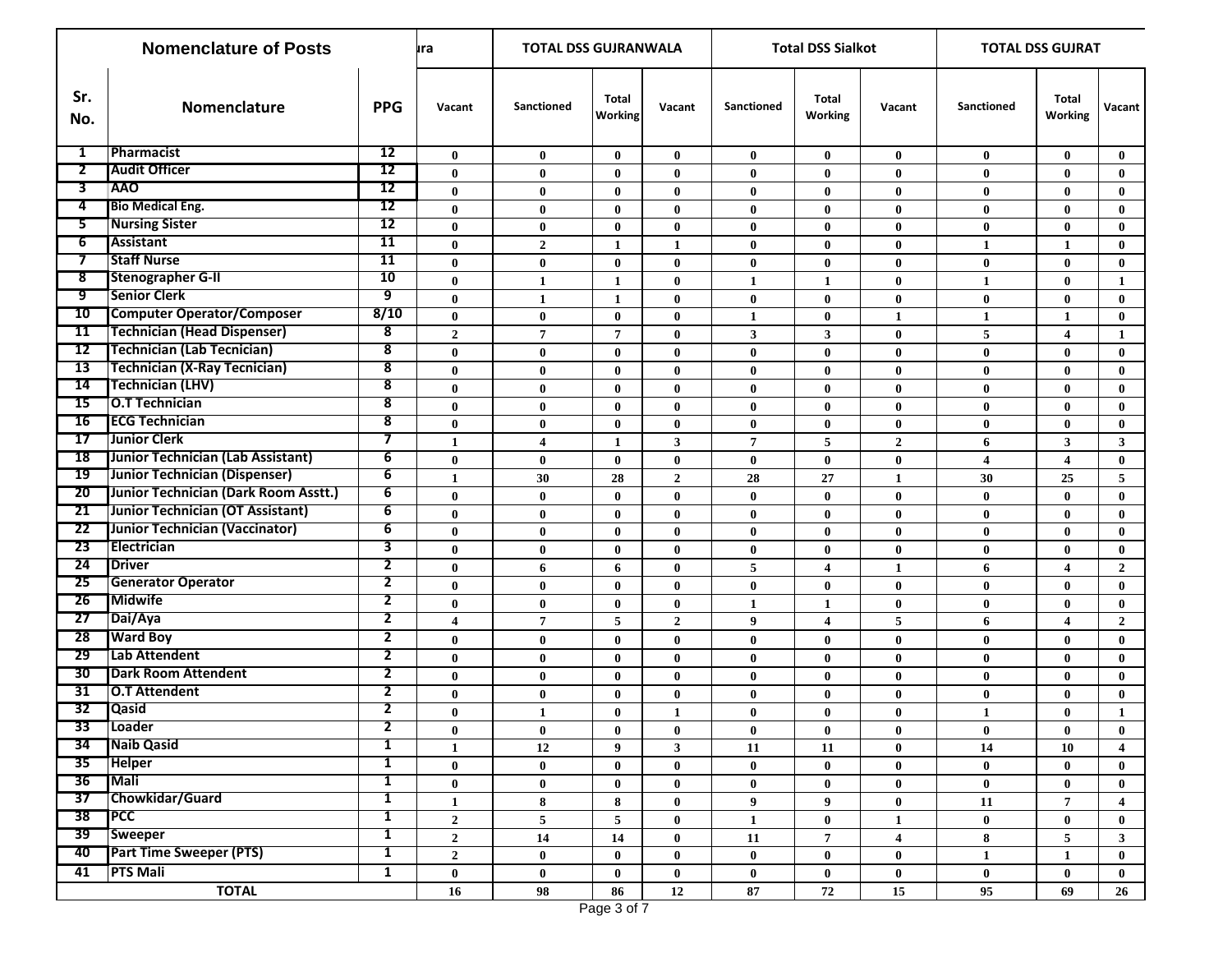| <b>Nomenclature of Posts</b> |                                                                          |                                                    | ura                      | <b>TOTAL DSS GUJRANWALA</b> |                      |                         |                         | <b>Total DSS Sialkot</b> |                         | <b>TOTAL DSS GUJRAT</b> |                         |                         |
|------------------------------|--------------------------------------------------------------------------|----------------------------------------------------|--------------------------|-----------------------------|----------------------|-------------------------|-------------------------|--------------------------|-------------------------|-------------------------|-------------------------|-------------------------|
| Sr.<br>No.                   | <b>Nomenclature</b>                                                      | <b>PPG</b>                                         | Vacant                   | Sanctioned                  | Total<br>Working     | Vacant                  | <b>Sanctioned</b>       | Total<br>Working         | Vacant                  | Sanctioned              | Total<br>Working        | Vacant                  |
| $\mathbf{1}$                 | Pharmacist                                                               | 12                                                 | $\bf{0}$                 | $\bf{0}$                    | $\bf{0}$             | $\bf{0}$                | $\bf{0}$                | $\bf{0}$                 | $\bf{0}$                | $\bf{0}$                | $\bf{0}$                | $\bf{0}$                |
| $\overline{2}$               | <b>Audit Officer</b>                                                     | 12                                                 | $\bf{0}$                 | $\bf{0}$                    | $\bf{0}$             | $\bf{0}$                | $\bf{0}$                | $\bf{0}$                 | $\bf{0}$                | $\bf{0}$                | $\mathbf{0}$            | $\bf{0}$                |
| 3                            | <b>AAO</b>                                                               | 12                                                 | $\bf{0}$                 | $\bf{0}$                    | $\bf{0}$             | $\bf{0}$                | $\bf{0}$                | $\bf{0}$                 | $\bf{0}$                | $\bf{0}$                | $\bf{0}$                | $\bf{0}$                |
| 4                            | <b>Bio Medical Eng.</b>                                                  | 12                                                 | $\mathbf{0}$             | $\bf{0}$                    | $\bf{0}$             | $\bf{0}$                | $\bf{0}$                | $\bf{0}$                 | $\bf{0}$                | $\bf{0}$                | $\mathbf{0}$            | $\bf{0}$                |
| 5.                           | <b>Nursing Sister</b>                                                    | 12                                                 | $\bf{0}$                 | $\bf{0}$                    | $\bf{0}$             | $\bf{0}$                | $\bf{0}$                | $\bf{0}$                 | $\bf{0}$                | $\bf{0}$                | $\bf{0}$                | $\bf{0}$                |
| 6                            | <b>Assistant</b>                                                         | 11                                                 | $\mathbf{0}$             | $\boldsymbol{2}$            | 1                    | $\mathbf{1}$            | $\bf{0}$                | $\bf{0}$                 | $\bf{0}$                | $\mathbf{1}$            | $\mathbf{1}$            | $\bf{0}$                |
| $\tau$                       | <b>Staff Nurse</b>                                                       | 11                                                 | $\bf{0}$                 | $\bf{0}$                    | $\bf{0}$             | $\bf{0}$                | $\bf{0}$                | $\bf{0}$                 | $\bf{0}$                | $\bf{0}$                | $\mathbf{0}$            | $\bf{0}$                |
| 8                            | <b>Stenographer G-II</b>                                                 | 10                                                 | $\bf{0}$                 | $\mathbf{1}$                | 1                    | $\bf{0}$                | $\mathbf{1}$            | 1                        | $\bf{0}$                | $\mathbf{1}$            | $\bf{0}$                | 1                       |
| 9                            | <b>Senior Clerk</b>                                                      | 9                                                  | $\bf{0}$                 | $\mathbf{1}$                | $\mathbf{1}$         | $\bf{0}$                | $\bf{0}$                | $\bf{0}$                 | $\bf{0}$                | $\bf{0}$                | $\bf{0}$                | $\bf{0}$                |
| 10                           | <b>Computer Operator/Composer</b>                                        | 8/10                                               | $\bf{0}$                 | $\bf{0}$                    | $\bf{0}$             | $\bf{0}$                | $\mathbf{1}$            | $\bf{0}$                 | $\mathbf{1}$            | $\mathbf{1}$            | $\mathbf{1}$            | $\bf{0}$                |
| 11<br>12                     | <b>Technician (Head Dispenser)</b>                                       | 8                                                  | $\boldsymbol{2}$         | $\overline{7}$              | $\overline{7}$       | $\bf{0}$                | $\overline{\mathbf{3}}$ | 3                        | $\bf{0}$                | 5                       | $\overline{\mathbf{4}}$ | $\mathbf{1}$            |
| 13                           | <b>Technician (Lab Tecnician)</b><br><b>Technician (X-Ray Tecnician)</b> | $\overline{\mathbf{8}}$<br>$\overline{\mathbf{8}}$ | $\bf{0}$                 | $\bf{0}$                    | $\bf{0}$             | $\bf{0}$                | $\bf{0}$                | $\bf{0}$                 | $\bf{0}$                | $\bf{0}$                | $\bf{0}$                | $\bf{0}$                |
| 14                           | <b>Technician (LHV)</b>                                                  | $\overline{\mathbf{8}}$                            | $\bf{0}$                 | $\bf{0}$                    | $\bf{0}$             | $\bf{0}$                | $\bf{0}$                | $\bf{0}$                 | $\bf{0}$                | $\bf{0}$                | $\mathbf{0}$            | $\bf{0}$                |
| 15                           | <b>O.T Technician</b>                                                    | 8                                                  | $\bf{0}$                 | $\bf{0}$                    | $\bf{0}$             | $\bf{0}$                | $\bf{0}$                | $\bf{0}$                 | $\bf{0}$                | $\bf{0}$                | $\mathbf{0}$            | $\bf{0}$                |
| 16                           | <b>ECG Technician</b>                                                    | $\overline{\mathbf{8}}$                            | $\bf{0}$                 | $\bf{0}$                    | $\bf{0}$             | $\bf{0}$                | $\bf{0}$                | $\bf{0}$                 | $\bf{0}$                | $\bf{0}$                | $\mathbf{0}$            | $\bf{0}$                |
| 17                           | Junior Clerk                                                             | $\overline{7}$                                     | $\bf{0}$                 | $\bf{0}$                    | $\bf{0}$             | $\bf{0}$                | $\bf{0}$                | $\bf{0}$                 | $\bf{0}$                | $\bf{0}$                | $\bf{0}$                | $\bf{0}$                |
| <b>18</b>                    | Junior Technician (Lab Assistant)                                        | $\overline{6}$                                     | $\mathbf{1}$             | $\overline{\mathbf{4}}$     | $\mathbf{1}$         | $\mathbf{3}$            | $\overline{7}$          | 5                        | $\overline{2}$          | 6                       | 3                       | 3                       |
| 19                           | Junior Technician (Dispenser)                                            | $\overline{6}$                                     | $\bf{0}$                 | $\bf{0}$<br>30              | $\bf{0}$             | $\bf{0}$                | $\bf{0}$<br>28          | $\bf{0}$<br>27           | $\bf{0}$                | 4<br>30                 | 4<br>25                 | $\bf{0}$<br>5           |
| 20                           | Junior Technician (Dark Room Asstt.)                                     | 6                                                  | $\mathbf{1}$<br>$\bf{0}$ | $\bf{0}$                    | 28                   | $\mathbf 2$<br>$\bf{0}$ | $\bf{0}$                |                          | $\mathbf{1}$            |                         | $\mathbf{0}$            | $\bf{0}$                |
| 21                           | Junior Technician (OT Assistant)                                         | 6                                                  | $\bf{0}$                 | $\bf{0}$                    | $\bf{0}$<br>$\bf{0}$ | $\bf{0}$                | $\bf{0}$                | $\bf{0}$<br>$\bf{0}$     | $\bf{0}$<br>$\bf{0}$    | $\bf{0}$<br>$\bf{0}$    | $\bf{0}$                | $\bf{0}$                |
| 22                           | Junior Technician (Vaccinator)                                           | 6                                                  | $\bf{0}$                 | $\bf{0}$                    | $\bf{0}$             | $\bf{0}$                | $\bf{0}$                | $\bf{0}$                 | $\bf{0}$                | $\bf{0}$                | $\bf{0}$                | $\bf{0}$                |
| 23                           | Electrician                                                              | 3                                                  | $\bf{0}$                 | $\bf{0}$                    | $\bf{0}$             | $\bf{0}$                | $\bf{0}$                | $\bf{0}$                 | $\bf{0}$                | $\bf{0}$                | $\bf{0}$                | $\bf{0}$                |
| 24                           | <b>Driver</b>                                                            | $\overline{2}$                                     | $\bf{0}$                 | 6                           | 6                    | $\bf{0}$                | 5                       | $\overline{\mathbf{4}}$  | $\mathbf{1}$            | 6                       | 4                       | $\mathbf{2}$            |
| 25                           | <b>Generator Operator</b>                                                | $\overline{2}$                                     | $\bf{0}$                 | $\bf{0}$                    | $\bf{0}$             | $\bf{0}$                | $\bf{0}$                | $\bf{0}$                 | $\bf{0}$                | $\bf{0}$                | $\bf{0}$                | $\bf{0}$                |
| 26                           | <b>Midwife</b>                                                           | $\overline{2}$                                     | $\bf{0}$                 | $\bf{0}$                    | $\bf{0}$             | $\bf{0}$                | 1                       | 1                        | $\bf{0}$                | $\bf{0}$                | $\mathbf{0}$            | $\bf{0}$                |
| 27                           | Dai/Aya                                                                  | $\overline{2}$                                     | 4                        | $\overline{7}$              | 5                    | $\mathbf{2}$            | 9                       | $\overline{4}$           | 5                       | 6                       | 4                       | $\overline{2}$          |
| 28                           | <b>Ward Boy</b>                                                          | $\overline{2}$                                     | $\bf{0}$                 | $\bf{0}$                    | $\bf{0}$             | $\bf{0}$                | $\bf{0}$                | $\bf{0}$                 | $\bf{0}$                | $\bf{0}$                | $\mathbf{0}$            | $\bf{0}$                |
| 29                           | Lab Attendent                                                            | 2                                                  | $\bf{0}$                 | $\bf{0}$                    | $\bf{0}$             | $\bf{0}$                | $\bf{0}$                | $\bf{0}$                 | $\bf{0}$                | $\bf{0}$                | $\mathbf{0}$            | $\bf{0}$                |
| 30                           | <b>Dark Room Attendent</b>                                               | $\overline{2}$                                     | $\bf{0}$                 | $\bf{0}$                    | $\bf{0}$             | $\bf{0}$                | $\bf{0}$                | $\bf{0}$                 | $\bf{0}$                | $\bf{0}$                | $\mathbf{0}$            | $\bf{0}$                |
| 31                           | <b>O.T Attendent</b>                                                     | $\overline{2}$                                     | $\bf{0}$                 | $\bf{0}$                    | $\bf{0}$             | $\bf{0}$                | $\bf{0}$                | $\bf{0}$                 | $\bf{0}$                | $\bf{0}$                | $\mathbf{0}$            | $\bf{0}$                |
| 32                           | <b>Qasid</b>                                                             | 2                                                  | $\bf{0}$                 | 1                           | $\bf{0}$             | $\mathbf{1}$            | $\bf{0}$                | $\bf{0}$                 | $\bf{0}$                | 1                       | $\bf{0}$                | 1                       |
|                              | 33 Loader                                                                | 2                                                  | $\bf{0}$                 | $\bf{0}$                    | 0                    | $\pmb{0}$               | $\bf{0}$                | $\bf{0}$                 | $\bf{0}$                | $\bf{0}$                | $\bf{0}$                | $\bf{0}$                |
| -34                          | Naib Qasid                                                               | $\overline{\mathbf{1}}$                            | $\mathbf{1}$             | 12                          | 9                    | $\mathbf{3}$            | 11                      | 11                       | $\bf{0}$                | 14                      | 10                      | $\overline{\mathbf{4}}$ |
| 35                           | <b>Helper</b>                                                            | 1                                                  | $\bf{0}$                 | $\bf{0}$                    | $\bf{0}$             | $\bf{0}$                | $\bf{0}$                | $\bf{0}$                 | $\bf{0}$                | $\bf{0}$                | $\bf{0}$                | $\bf{0}$                |
| 36                           | <b>Mali</b>                                                              | $\mathbf{1}$                                       | $\bf{0}$                 | $\bf{0}$                    | $\bf{0}$             | $\pmb{0}$               | $\bf{0}$                | $\bf{0}$                 | $\bf{0}$                | $\bf{0}$                | $\bf{0}$                | $\bf{0}$                |
| 37                           | Chowkidar/Guard                                                          | $\mathbf{1}$                                       | $\mathbf{1}$             | 8                           | 8                    | $\bf{0}$                | 9 <sup>°</sup>          | $\boldsymbol{9}$         | $\bf{0}$                | ${\bf 11}$              | $\overline{7}$          | $\overline{\mathbf{4}}$ |
| $38$ PCC                     |                                                                          | $\mathbf{1}$                                       | $\mathbf{2}$             | $\overline{\mathbf{5}}$     | 5                    | $\bf{0}$                | $\mathbf{1}$            | $\bf{0}$                 | $\mathbf{1}$            | $\bf{0}$                | $\mathbf{0}$            | $\bf{0}$                |
|                              | 39 Sweeper                                                               | $\mathbf{1}$                                       | $\mathbf{2}$             | 14                          | 14                   | $\bf{0}$                | 11                      | $\mathbf 7$              | $\overline{\mathbf{4}}$ | 8                       | 5                       | 3 <sup>7</sup>          |
| 40                           | <b>Part Time Sweeper (PTS)</b>                                           | $\mathbf{1}$                                       | $\mathbf{2}$             | $\bf{0}$                    | $\bf{0}$             | $\bf{0}$                | $\bf{0}$                | $\mathbf{0}$             | $\bf{0}$                | 1                       | $\mathbf{1}$            | $\bf{0}$                |
| 41                           | <b>PTS Mali</b>                                                          | $\mathbf{1}$                                       | $\pmb{0}$                | $\bf{0}$                    | $\bf{0}$             | $\bf{0}$                | $\bf{0}$                | $\mathbf{0}$             | $\bf{0}$                | $\bf{0}$                | $\bf{0}$                | $\bf{0}$                |
|                              | <b>TOTAL</b>                                                             |                                                    | 16                       | 98                          | 86                   | $12\,$                  | 87                      | 72                       | $15\,$                  | 95                      | 69                      | 26                      |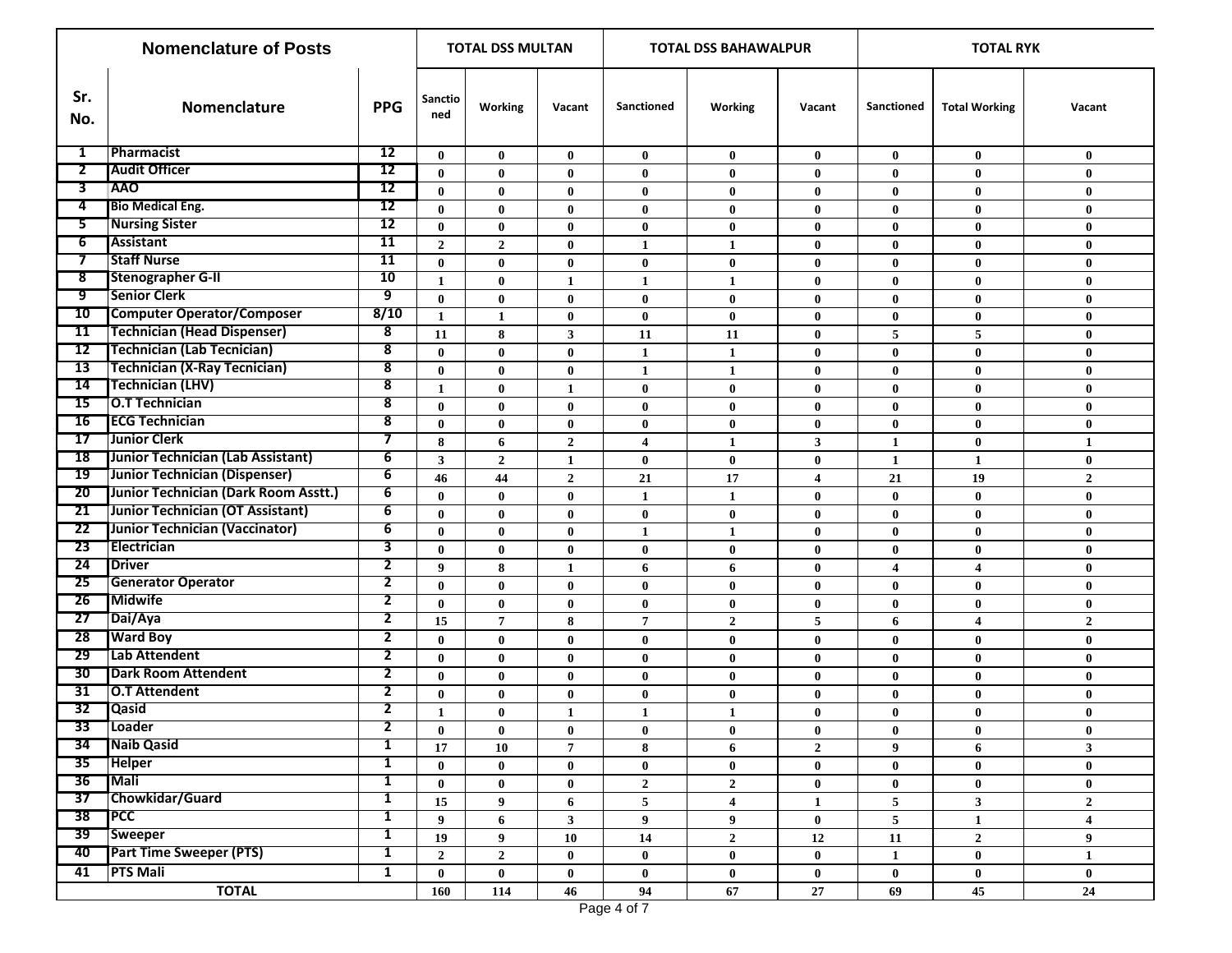|                          | <b>Nomenclature of Posts</b>         | <b>TOTAL DSS MULTAN</b> |                  |                  |                | <b>TOTAL DSS BAHAWALPUR</b> |                  | <b>TOTAL RYK</b> |                         |                      |                         |
|--------------------------|--------------------------------------|-------------------------|------------------|------------------|----------------|-----------------------------|------------------|------------------|-------------------------|----------------------|-------------------------|
| Sr.<br>No.               | Nomenclature                         | <b>PPG</b>              | Sanctio<br>ned   | Working          | Vacant         | <b>Sanctioned</b>           | Working          | Vacant           | <b>Sanctioned</b>       | <b>Total Working</b> | Vacant                  |
| 1                        | Pharmacist                           | 12                      | $\bf{0}$         | $\bf{0}$         | $\bf{0}$       | $\mathbf{0}$                | $\bf{0}$         | $\bf{0}$         | $\bf{0}$                | $\mathbf{0}$         | $\bf{0}$                |
| $\overline{2}$           | <b>Audit Officer</b>                 | 12                      | $\bf{0}$         | $\bf{0}$         | $\bf{0}$       | $\bf{0}$                    | $\bf{0}$         | $\bf{0}$         | $\bf{0}$                | $\bf{0}$             | $\bf{0}$                |
| 3                        | <b>TAAO</b>                          | 12                      | $\bf{0}$         | $\bf{0}$         | $\bf{0}$       | $\bf{0}$                    | $\bf{0}$         | $\bf{0}$         | $\bf{0}$                | $\bf{0}$             | $\bf{0}$                |
| 4                        | <b>Bio Medical Eng.</b>              | 12                      | $\bf{0}$         | $\bf{0}$         | $\bf{0}$       | $\bf{0}$                    | $\bf{0}$         | $\bf{0}$         | $\bf{0}$                | $\bf{0}$             | $\bf{0}$                |
| 5.                       | <b>Nursing Sister</b>                | $\overline{12}$         | $\bf{0}$         | $\bf{0}$         | $\bf{0}$       | $\bf{0}$                    | $\bf{0}$         | $\bf{0}$         | $\bf{0}$                | $\mathbf{0}$         | $\bf{0}$                |
| $6^-$                    | <b>Assistant</b>                     | $\overline{11}$         | $\overline{2}$   | $\mathbf{2}$     | $\bf{0}$       | $\mathbf{1}$                | 1                | $\bf{0}$         | $\bf{0}$                | $\bf{0}$             | $\bf{0}$                |
| $\overline{\phantom{a}}$ | <b>Staff Nurse</b>                   | 11                      | $\bf{0}$         | $\bf{0}$         | $\bf{0}$       | $\bf{0}$                    | $\bf{0}$         | $\bf{0}$         | $\bf{0}$                | $\bf{0}$             | $\bf{0}$                |
| $\overline{\mathbf{8}}$  | <b>Stenographer G-II</b>             | 10                      | $\mathbf{1}$     | $\bf{0}$         | 1              | $\mathbf{1}$                | 1                | $\bf{0}$         | $\bf{0}$                | $\bf{0}$             | $\bf{0}$                |
| ஏ                        | <b>Senior Clerk</b>                  | 9                       | $\bf{0}$         | $\bf{0}$         | $\bf{0}$       | $\bf{0}$                    | $\bf{0}$         | $\bf{0}$         | $\bf{0}$                | $\bf{0}$             | $\bf{0}$                |
| 10                       | <b>Computer Operator/Composer</b>    | 8/10                    | $\mathbf{1}$     | $\mathbf{1}$     | $\bf{0}$       | $\bf{0}$                    | $\bf{0}$         | $\bf{0}$         | $\bf{0}$                | $\bf{0}$             | $\bf{0}$                |
| 11                       | <b>Technician (Head Dispenser)</b>   | 8                       | 11               | 8                | 3              | 11                          | 11               | $\bf{0}$         | 5                       | 5                    | $\bf{0}$                |
| 12                       | <b>Technician (Lab Tecnician)</b>    | 8                       | $\bf{0}$         | $\bf{0}$         | $\bf{0}$       | $\mathbf{1}$                | $\mathbf{1}$     | $\bf{0}$         | $\bf{0}$                | $\bf{0}$             | $\bf{0}$                |
| 13                       | <b>Technician (X-Ray Tecnician)</b>  | $\overline{\mathbf{8}}$ | $\bf{0}$         | $\bf{0}$         | $\bf{0}$       | $\mathbf{1}$                | 1                | $\bf{0}$         | $\bf{0}$                | $\bf{0}$             | $\bf{0}$                |
| 14                       | <b>Technician (LHV)</b>              | $\overline{\mathbf{8}}$ | 1                | $\bf{0}$         | 1              | $\bf{0}$                    | $\bf{0}$         | $\bf{0}$         | $\bf{0}$                | $\bf{0}$             | $\bf{0}$                |
| 15                       | O.T Technician                       | 8                       | $\bf{0}$         | $\bf{0}$         | $\bf{0}$       | $\bf{0}$                    | $\bf{0}$         | $\bf{0}$         | $\bf{0}$                | $\bf{0}$             | $\bf{0}$                |
| 16                       | <b>ECG Technician</b>                | 8                       | $\bf{0}$         | $\bf{0}$         | $\bf{0}$       | $\bf{0}$                    | $\bf{0}$         | $\bf{0}$         | $\bf{0}$                | $\bf{0}$             | $\bf{0}$                |
| 17                       | <b>Junior Clerk</b>                  | 7                       | 8                | 6                | $\overline{2}$ | $\overline{\mathbf{4}}$     | 1                | $\mathbf{3}$     | $\mathbf{1}$            | $\bf{0}$             | $\mathbf{1}$            |
| 18                       | Junior Technician (Lab Assistant)    | 6                       | $\mathbf{3}$     | $\boldsymbol{2}$ | $\mathbf{1}$   | $\bf{0}$                    | $\bf{0}$         | $\bf{0}$         | $\mathbf{1}$            | $\mathbf{1}$         | $\bf{0}$                |
| 19                       | Junior Technician (Dispenser)        | 6                       | 46               | 44               | $\overline{2}$ | 21                          | 17               | $\overline{4}$   | 21                      | 19                   | $\overline{2}$          |
| 20 <sup>2</sup>          | Junior Technician (Dark Room Asstt.) | 6                       | $\bf{0}$         | $\bf{0}$         | $\bf{0}$       | $\mathbf{1}$                | 1                | $\bf{0}$         | $\bf{0}$                | $\bf{0}$             | $\bf{0}$                |
| 21                       | Junior Technician (OT Assistant)     | 6                       | $\bf{0}$         | $\bf{0}$         | $\bf{0}$       | $\bf{0}$                    | $\bf{0}$         | $\bf{0}$         | $\bf{0}$                | $\bf{0}$             | $\bf{0}$                |
| 22                       | Junior Technician (Vaccinator)       | 6                       | $\bf{0}$         | $\bf{0}$         | $\bf{0}$       | $\mathbf{1}$                | $\mathbf{1}$     | $\bf{0}$         | $\bf{0}$                | $\bf{0}$             | $\bf{0}$                |
| 23                       | Electrician                          | 3                       | $\bf{0}$         | $\bf{0}$         | $\bf{0}$       | $\bf{0}$                    | $\bf{0}$         | $\bf{0}$         | $\bf{0}$                | $\bf{0}$             | $\bf{0}$                |
| 24                       | <b>TDriver</b>                       | 2                       | 9                | 8                | $\mathbf{1}$   | 6                           | 6                | $\bf{0}$         | $\overline{\mathbf{4}}$ | 4                    | $\bf{0}$                |
| 25                       | <b>Generator Operator</b>            | 2                       | $\bf{0}$         | $\bf{0}$         | $\bf{0}$       | $\bf{0}$                    | $\bf{0}$         | $\bf{0}$         | $\bf{0}$                | $\mathbf{0}$         | $\bf{0}$                |
| 26                       | <b>Midwife</b>                       | 2                       | $\bf{0}$         | $\bf{0}$         | $\bf{0}$       | $\bf{0}$                    | $\bf{0}$         | $\bf{0}$         | $\bf{0}$                | $\bf{0}$             | $\bf{0}$                |
| 27                       | Dai/Aya                              | $\overline{\mathbf{2}}$ | 15               | $\overline{7}$   | 8              | $\overline{7}$              | $\mathbf{2}$     | 5                | 6                       | 4                    | $\overline{2}$          |
| 28                       | <b>Ward Boy</b>                      | $\mathbf{2}$            | $\bf{0}$         | $\bf{0}$         | $\bf{0}$       | $\bf{0}$                    | $\bf{0}$         | $\bf{0}$         | $\bf{0}$                | $\bf{0}$             | $\bf{0}$                |
| 29                       | Lab Attendent                        | 2                       | $\bf{0}$         | $\bf{0}$         | $\bf{0}$       | $\bf{0}$                    | $\bf{0}$         | $\bf{0}$         | $\bf{0}$                | $\bf{0}$             | $\bf{0}$                |
| 30                       | <b>Dark Room Attendent</b>           | 2                       | $\bf{0}$         | $\bf{0}$         | $\bf{0}$       | $\bf{0}$                    | $\bf{0}$         | $\bf{0}$         | $\bf{0}$                | $\bf{0}$             | $\bf{0}$                |
| 31                       | <b>O.T Attendent</b>                 | 2                       | $\bf{0}$         | $\bf{0}$         | $\bf{0}$       | $\bf{0}$                    | $\bf{0}$         | $\bf{0}$         | $\bf{0}$                | $\bf{0}$             | $\bf{0}$                |
| 32                       | <b>Qasid</b>                         | 2                       | $\mathbf{1}$     | $\bf{0}$         | $\mathbf{1}$   | $\mathbf{1}$                | $\mathbf{1}$     | $\bf{0}$         | $\bf{0}$                | $\bf{0}$             | $\bf{0}$                |
| 33                       | Loader                               | 2                       | $\boldsymbol{0}$ | $\bf{0}$         | $\pmb{0}$      | $\bf{0}$                    | $\pmb{0}$        | $\bf{0}$         | $\boldsymbol{0}$        | $\bf{0}$             | $\bf{0}$                |
|                          | 34 Naib Qasid                        | $\mathbf{1}$            | 17               | 10               | $\overline{7}$ | 8                           | 6                | $\overline{2}$   | $\boldsymbol{9}$        | 6                    | $\mathbf{3}$            |
| 35                       | <b>Helper</b>                        | $\mathbf{1}$            | $\bf{0}$         | $\bf{0}$         | $\bf{0}$       | $\mathbf{0}$                | $\bf{0}$         | $\bf{0}$         | $\mathbf{0}$            | $\mathbf{0}$         | $\bf{0}$                |
| 36                       | <b>Mali</b>                          | 1                       | $\bf{0}$         | $\bf{0}$         | $\bf{0}$       | $\mathbf{2}$                | $\overline{2}$   | $\bf{0}$         | $\bf{0}$                | $\bf{0}$             | $\bf{0}$                |
| 37                       | Chowkidar/Guard                      | 1                       | 15               | 9                | 6              | 5                           | 4                | $\mathbf{1}$     | $5\phantom{.0}$         | $\mathbf{3}$         | $\overline{2}$          |
| 38                       | <b>TPCC</b>                          | 1                       | $\boldsymbol{9}$ | 6                | 3 <sup>1</sup> | 9                           | 9                | $\bf{0}$         | $5\phantom{.0}$         | $\mathbf{1}$         | $\overline{\mathbf{4}}$ |
| 39                       | <b>Sweeper</b>                       | 1                       | 19               | 9                | 10             | 14                          | $\mathbf{2}$     | 12               | ${\bf 11}$              | $\overline{2}$       | 9                       |
| 40                       | <b>Part Time Sweeper (PTS)</b>       | 1                       | $\boldsymbol{2}$ | $\bf 2$          | $\bf{0}$       | $\mathbf{0}$                | $\bf{0}$         | $\bf{0}$         | $\mathbf{1}$            | $\bf{0}$             | $\mathbf{1}$            |
| 41                       | <b>PTS Mali</b>                      | $\mathbf{1}$            | $\mathbf 0$      | $\mathbf{0}$     | $\bf{0}$       | $\bf{0}$                    | $\boldsymbol{0}$ | $\bf{0}$         | $\bf{0}$                | $\mathbf{0}$         | $\bf{0}$                |
|                          | <b>TOTAL</b>                         |                         | 160              | 114              | 46             | 94                          | $\bf 67$         | 27               | 69                      | 45                   | ${\bf 24}$              |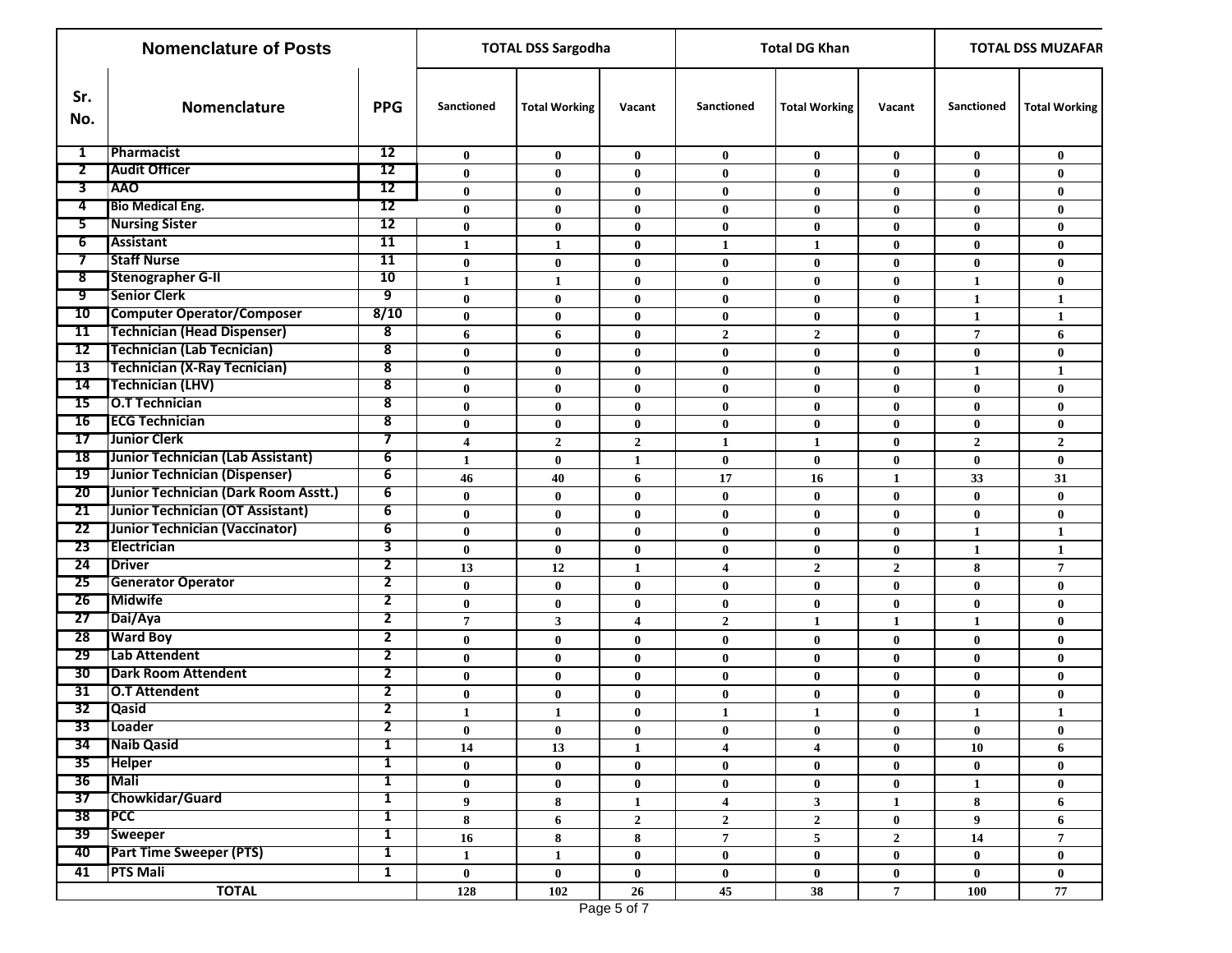|                 | <b>Nomenclature of Posts</b>         |                         | <b>TOTAL DSS Sargodha</b> |                      |                 | <b>Total DG Khan</b>    | <b>TOTAL DSS MUZAFAR</b> |                 |                |                      |
|-----------------|--------------------------------------|-------------------------|---------------------------|----------------------|-----------------|-------------------------|--------------------------|-----------------|----------------|----------------------|
| Sr.<br>No.      | Nomenclature                         | <b>PPG</b>              | Sanctioned                | <b>Total Working</b> | Vacant          | <b>Sanctioned</b>       | <b>Total Working</b>     | Vacant          | Sanctioned     | <b>Total Working</b> |
| 1               | Pharmacist                           | 12                      | $\bf{0}$                  | $\bf{0}$             | $\bf{0}$        | $\bf{0}$                | $\bf{0}$                 | $\bf{0}$        | $\bf{0}$       | $\bf{0}$             |
| $\overline{2}$  | <b>Audit Officer</b>                 | 12                      | $\bf{0}$                  | $\bf{0}$             | $\bf{0}$        | $\bf{0}$                | $\bf{0}$                 | $\mathbf{0}$    | $\bf{0}$       | $\bf{0}$             |
| 3               | <b>TAAO</b>                          | 12                      | $\bf{0}$                  | $\bf{0}$             | $\bf{0}$        | $\bf{0}$                | $\bf{0}$                 | $\bf{0}$        | $\bf{0}$       | $\bf{0}$             |
| 4               | <b>Bio Medical Eng.</b>              | 12                      | $\bf{0}$                  | $\bf{0}$             | $\bf{0}$        | $\bf{0}$                | $\bf{0}$                 | $\mathbf{0}$    | $\bf{0}$       | $\bf{0}$             |
| 5.              | <b>Nursing Sister</b>                | 12                      | $\bf{0}$                  | $\bf{0}$             | $\bf{0}$        | $\bf{0}$                | $\bf{0}$                 | $\bf{0}$        | $\bf{0}$       | $\bf{0}$             |
| $6^-$           | Assistant                            | 11                      | $\mathbf{1}$              | $\mathbf{1}$         | $\bf{0}$        | 1                       | $\mathbf{1}$             | $\bf{0}$        | $\bf{0}$       | $\bf{0}$             |
| $\tau$          | <b>Staff Nurse</b>                   | 11                      | $\bf{0}$                  | $\bf{0}$             | $\bf{0}$        | $\bf{0}$                | $\bf{0}$                 | $\bf{0}$        | $\bf{0}$       | $\bf{0}$             |
| 8               | Stenographer G-II                    | 10                      | $\mathbf{1}$              | $\mathbf{1}$         | $\bf{0}$        | $\bf{0}$                | $\bf{0}$                 | $\bf{0}$        | $\mathbf{1}$   | $\bf{0}$             |
| ஏ               | <b>Senior Clerk</b>                  | 9                       | $\bf{0}$                  | $\bf{0}$             | $\bf{0}$        | $\bf{0}$                | $\bf{0}$                 | $\bf{0}$        | 1              | $\mathbf{1}$         |
| 10              | <b>Computer Operator/Composer</b>    | 8/10                    | $\bf{0}$                  | $\bf{0}$             | $\bf{0}$        | $\bf{0}$                | $\bf{0}$                 | $\bf{0}$        | $\mathbf{1}$   | $\mathbf{1}$         |
| 11              | Technician (Head Dispenser)          | 8                       | 6                         | 6                    | $\bf{0}$        | $\mathbf{2}$            | $\overline{2}$           | $\bf{0}$        | $\overline{7}$ | 6                    |
| 12              | <b>Technician (Lab Tecnician)</b>    | 8                       | $\bf{0}$                  | $\bf{0}$             | $\bf{0}$        | $\bf{0}$                | $\bf{0}$                 | $\bf{0}$        | $\bf{0}$       | $\bf{0}$             |
| 13              | Technician (X-Ray Tecnician)         | 8                       | $\bf{0}$                  | $\bf{0}$             | $\bf{0}$        | $\bf{0}$                | $\bf{0}$                 | $\bf{0}$        | 1              | $\mathbf{1}$         |
| 14              | Technician (LHV)                     | 8                       | $\bf{0}$                  | $\bf{0}$             | $\bf{0}$        | $\bf{0}$                | $\bf{0}$                 | $\bf{0}$        | $\bf{0}$       | $\bf{0}$             |
| 15              | <b>O.T Technician</b>                | 8                       | $\bf{0}$                  | $\bf{0}$             | $\bf{0}$        | $\bf{0}$                | $\bf{0}$                 | $\bf{0}$        | $\bf{0}$       | $\bf{0}$             |
| 16              | <b>ECG Technician</b>                | 8                       | $\bf{0}$                  | $\bf{0}$             | $\bf{0}$        | $\bf{0}$                | $\bf{0}$                 | $\bf{0}$        | $\bf{0}$       | $\bf{0}$             |
| 17              | Junior Clerk                         | 7                       | $\overline{\mathbf{4}}$   | $\overline{2}$       | $\overline{2}$  | $\mathbf{1}$            | $\mathbf{1}$             | $\mathbf{0}$    | $\overline{2}$ | $\overline{2}$       |
|                 | 18 Junior Technician (Lab Assistant) | 6                       | $\mathbf{1}$              | $\bf{0}$             | $\mathbf{1}$    | $\bf{0}$                | $\bf{0}$                 | $\bf{0}$        | $\bf{0}$       | $\bf{0}$             |
|                 | 19 Junior Technician (Dispenser)     | 6                       | 46                        | 40                   | 6               | 17                      | 16                       | 1               | 33             | 31                   |
| 20              | Junior Technician (Dark Room Asstt.) | 6                       | $\bf{0}$                  | $\bf{0}$             | $\bf{0}$        | $\bf{0}$                | $\bf{0}$                 | $\bf{0}$        | $\bf{0}$       | $\bf{0}$             |
| 21              | Junior Technician (OT Assistant)     | 6                       | $\bf{0}$                  | $\bf{0}$             | $\bf{0}$        | $\bf{0}$                | $\bf{0}$                 | $\bf{0}$        | $\bf{0}$       | $\bf{0}$             |
| 22              | Junior Technician (Vaccinator)       | 6                       | $\bf{0}$                  | $\bf{0}$             | $\bf{0}$        | $\bf{0}$                | $\bf{0}$                 | $\bf{0}$        | 1              | $\mathbf{1}$         |
|                 | 23 Electrician                       | 3                       | $\bf{0}$                  | $\bf{0}$             | $\bf{0}$        | $\bf{0}$                | $\bf{0}$                 | $\bf{0}$        | $\mathbf{1}$   | $\mathbf{1}$         |
| 24              | <b>Driver</b>                        | 2                       | 13                        | 12                   | 1               | 4                       | $\overline{2}$           | $\overline{2}$  | 8              | $\overline{7}$       |
| 25              | <b>Generator Operator</b>            | $\overline{\mathbf{2}}$ | $\bf{0}$                  | $\bf{0}$             | $\bf{0}$        | $\bf{0}$                | $\bf{0}$                 | $\bf{0}$        | $\bf{0}$       | $\bf{0}$             |
| 26              | <b>Midwife</b>                       | 2                       | $\bf{0}$                  | $\bf{0}$             | $\bf{0}$        | $\bf{0}$                | $\bf{0}$                 | $\bf{0}$        | $\bf{0}$       | $\bf{0}$             |
| 27              | Dai/Aya                              | 2                       | $\overline{7}$            | 3                    | 4               | $\mathbf{2}$            | 1                        | 1               | 1              | $\bf{0}$             |
| 28              | <b>Ward Boy</b>                      | $\mathbf{2}$            | $\bf{0}$                  | $\bf{0}$             | $\bf{0}$        | $\bf{0}$                | $\bf{0}$                 | $\bf{0}$        | $\bf{0}$       | $\bf{0}$             |
| 29              | Lab Attendent                        | 2                       | $\bf{0}$                  | $\bf{0}$             | $\bf{0}$        | $\bf{0}$                | $\bf{0}$                 | $\bf{0}$        | $\bf{0}$       | $\bf{0}$             |
| 30              | <b>Dark Room Attendent</b>           | 2                       | $\bf{0}$                  | $\bf{0}$             | $\bf{0}$        | $\bf{0}$                | $\bf{0}$                 | $\bf{0}$        | $\bf{0}$       | $\bf{0}$             |
| 31              | <b>O.T Attendent</b>                 | 2                       | $\bf{0}$                  | $\bf{0}$             | $\bf{0}$        | $\bf{0}$                | $\bf{0}$                 | $\mathbf{0}$    | $\bf{0}$       | $\bf{0}$             |
| 32              | <b>Qasid</b>                         | 2                       | 1                         | $\mathbf{1}$         | $\bf{0}$        | 1                       | 1                        | $\bf{0}$        | 1              | $\mathbf{1}$         |
|                 | 33 Loader                            | $\overline{2}$          | $\bf{0}$                  | $\bf{0}$             | $\bf{0}$        | $\bf{0}$                | $\bf{0}$                 | $\bf{0}$        | $\bf{0}$       | $\bf{0}$             |
| -34             | Naib Qasid                           | $\mathbf{1}$            | 14                        | 13                   | $\mathbf{1}$    | 4                       | $\overline{4}$           | $\bf{0}$        | 10             | 6                    |
|                 | 35 Helper                            | $\mathbf{1}$            | $\mathbf{0}$              | $\bf{0}$             | $\bf{0}$        | $\bf{0}$                | $\bf{0}$                 | $\bf{0}$        | $\bf{0}$       | $\bf{0}$             |
| 36              | <b>Mali</b>                          | 1                       | $\bf{0}$                  | $\bf{0}$             | $\bf{0}$        | $\bf{0}$                | $\bf{0}$                 | $\bf{0}$        | $\mathbf{1}$   | $\bf{0}$             |
| 37              | Chowkidar/Guard                      | $\mathbf{1}$            | 9                         | 8                    | $\mathbf{1}$    | $\overline{\mathbf{4}}$ | $\mathbf{3}$             | $\mathbf{1}$    | 8              | 6                    |
| 38 <sup>7</sup> | <b>TPCC</b>                          | 1                       | 8                         | 6                    | $\mathbf{2}$    | $\mathbf{2}$            | $\overline{2}$           | $\bf{0}$        | 9              | 6                    |
|                 | 39 Sweeper                           | $\mathbf{1}$            | 16                        | 8                    | $\bf 8$         | $\mathbf 7$             | $\sqrt{5}$               | $\overline{2}$  | 14             | $\overline{7}$       |
| 40              | <b>Part Time Sweeper (PTS)</b>       | $\mathbf{1}$            | $\mathbf{1}$              | $\mathbf{1}$         | $\bf{0}$        | $\bf{0}$                | $\bf{0}$                 | $\bf{0}$        | $\bf{0}$       | $\bf{0}$             |
| 41              | <b>PTS Mali</b>                      | $\mathbf{1}$            | $\bf{0}$                  | $\bf{0}$             | $\bf{0}$        | $\bf{0}$                | $\bf{0}$                 | $\mathbf{0}$    | $\bf{0}$       | $\bf{0}$             |
|                 | <b>TOTAL</b>                         |                         | 128                       | 102                  | $26\phantom{.}$ | 45                      | 38                       | $7\phantom{.0}$ | 100            | 77                   |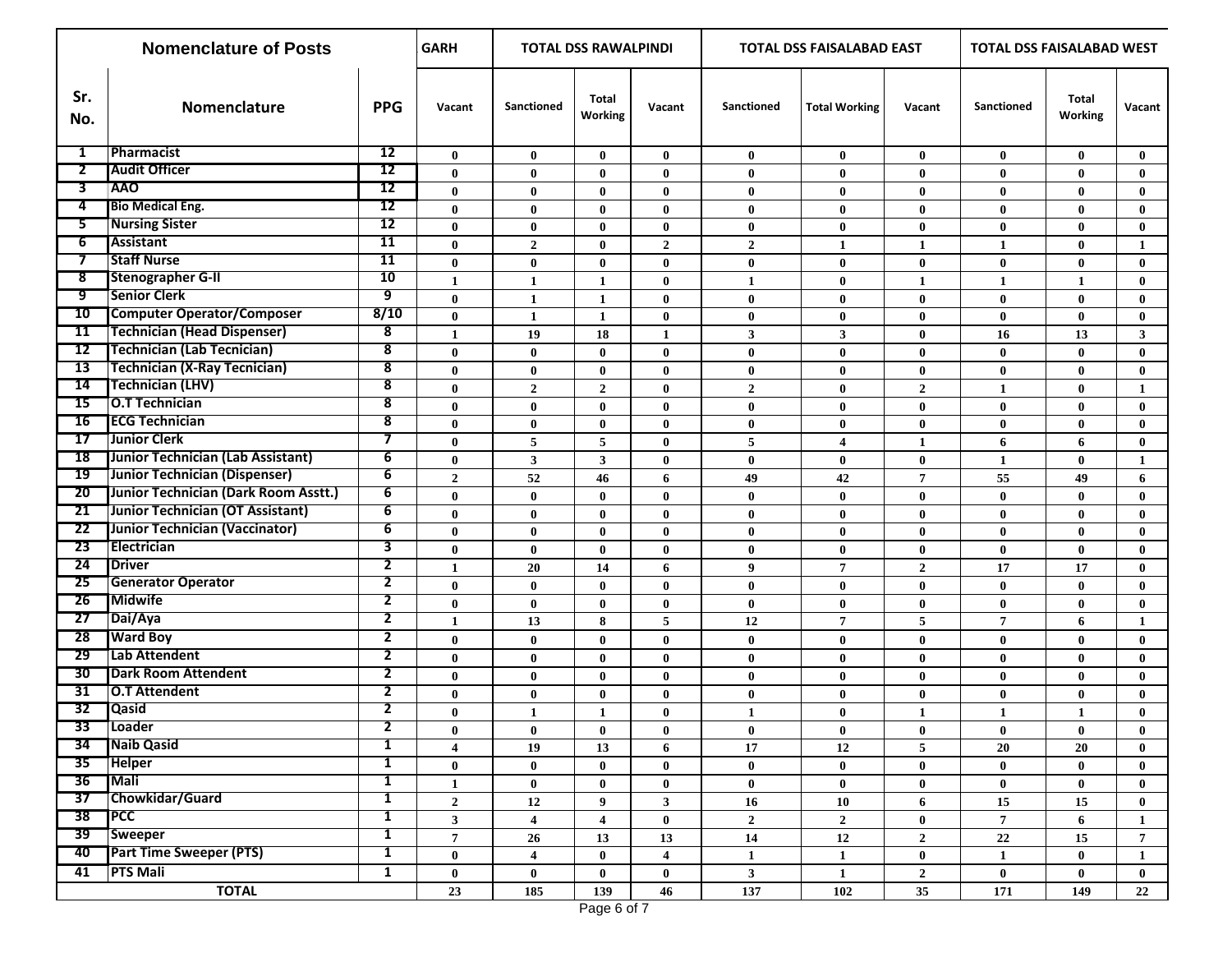|                 | <b>Nomenclature of Posts</b>         | <b>GARH</b>             |                         | <b>TOTAL DSS RAWALPINDI</b> |                  |                         | TOTAL DSS FAISALABAD EAST |                      | TOTAL DSS FAISALABAD WEST |                   |                  |                |
|-----------------|--------------------------------------|-------------------------|-------------------------|-----------------------------|------------------|-------------------------|---------------------------|----------------------|---------------------------|-------------------|------------------|----------------|
| Sr.<br>No.      | Nomenclature                         | <b>PPG</b>              | Vacant                  | <b>Sanctioned</b>           | Total<br>Working | Vacant                  | <b>Sanctioned</b>         | <b>Total Working</b> | Vacant                    | <b>Sanctioned</b> | Total<br>Working | Vacant         |
| 1               | Pharmacist                           | $\overline{12}$         | $\bf{0}$                | $\bf{0}$                    | $\bf{0}$         | $\bf{0}$                | $\bf{0}$                  | $\bf{0}$             | $\bf{0}$                  | $\bf{0}$          | $\bf{0}$         | $\bf{0}$       |
| $\overline{2}$  | <b>Audit Officer</b>                 | 12                      | $\mathbf{0}$            | $\bf{0}$                    | $\mathbf{0}$     | $\mathbf{0}$            | $\bf{0}$                  | $\mathbf{0}$         | $\bf{0}$                  | $\mathbf{0}$      | $\mathbf{0}$     | $\mathbf{0}$   |
| 3               | <b>AAO</b>                           | 12                      | $\bf{0}$                | $\bf{0}$                    | $\bf{0}$         | $\bf{0}$                | $\bf{0}$                  | $\bf{0}$             | $\bf{0}$                  | $\bf{0}$          | $\mathbf{0}$     | $\mathbf{0}$   |
| 4               | <b>Bio Medical Eng.</b>              | 12                      | $\bf{0}$                | $\bf{0}$                    | $\bf{0}$         | $\bf{0}$                | $\bf{0}$                  | $\bf{0}$             | $\bf{0}$                  | $\bf{0}$          | $\mathbf{0}$     | $\bf{0}$       |
| 5.              | <b>Nursing Sister</b>                | 12                      | $\mathbf{0}$            | $\bf{0}$                    | $\bf{0}$         | $\bf{0}$                | $\bf{0}$                  | $\bf{0}$             | $\bf{0}$                  | $\mathbf{0}$      | $\mathbf{0}$     | $\mathbf{0}$   |
| 6               | <b>Assistant</b>                     | 11                      | $\bf{0}$                | $\mathbf{2}$                | $\bf{0}$         | $\overline{2}$          | $\mathbf{2}$              | $\mathbf{1}$         | $\mathbf{1}$              | $\mathbf{1}$      | $\mathbf{0}$     | $\mathbf{1}$   |
| $\tau$          | <b>Staff Nurse</b>                   | 11                      | $\bf{0}$                | $\bf{0}$                    | $\bf{0}$         | $\bf{0}$                | $\bf{0}$                  | $\bf{0}$             | $\bf{0}$                  | $\bf{0}$          | $\bf{0}$         | $\bf{0}$       |
| 8               | <b>Stenographer G-II</b>             | 10                      | $\mathbf{1}$            | $\mathbf{1}$                | 1                | $\bf{0}$                | $\mathbf{1}$              | $\mathbf{0}$         | $\mathbf{1}$              | $\mathbf{1}$      | 1                | $\bf{0}$       |
| ர               | <b>Senior Clerk</b>                  | 9                       | $\bf{0}$                | $\mathbf{1}$                | 1                | $\bf{0}$                | $\bf{0}$                  | $\bf{0}$             | $\bf{0}$                  | $\mathbf{0}$      | $\mathbf{0}$     | $\bf{0}$       |
| 10              | <b>Computer Operator/Composer</b>    | 8/10                    | $\bf{0}$                | $\mathbf{1}$                | $\mathbf{1}$     | $\bf{0}$                | $\bf{0}$                  | $\bf{0}$             | $\bf{0}$                  | $\bf{0}$          | $\bf{0}$         | $\bf{0}$       |
| 11              | <b>Technician (Head Dispenser)</b>   | 8                       | $\mathbf{1}$            | 19                          | 18               | $\mathbf{1}$            | $\mathbf{3}$              | 3                    | $\bf{0}$                  | 16                | 13               | $\mathbf{3}$   |
| 12              | <b>Technician (Lab Tecnician)</b>    | 8                       | $\bf{0}$                | $\bf{0}$                    | $\bf{0}$         | $\bf{0}$                | $\bf{0}$                  | $\bf{0}$             | $\bf{0}$                  | $\bf{0}$          | $\mathbf{0}$     | $\bf{0}$       |
| 13              | <b>Technician (X-Ray Tecnician)</b>  | $\overline{\mathbf{8}}$ | $\bf{0}$                | $\bf{0}$                    | $\bf{0}$         | $\bf{0}$                | $\bf{0}$                  | $\bf{0}$             | $\bf{0}$                  | $\bf{0}$          | $\mathbf{0}$     | $\bf{0}$       |
| 14              | <b>Technician (LHV)</b>              | $\overline{\mathbf{8}}$ | $\bf{0}$                | $\mathbf{2}$                | $\overline{2}$   | $\bf{0}$                | $\boldsymbol{2}$          | $\bf{0}$             | $\overline{2}$            | 1                 | $\mathbf{0}$     | 1              |
| 15              | O.T Technician                       | 8                       | $\bf{0}$                | $\bf{0}$                    | $\bf{0}$         | $\bf{0}$                | $\bf{0}$                  | $\bf{0}$             | $\bf{0}$                  | $\bf{0}$          | $\bf{0}$         | $\mathbf{0}$   |
| I6              | <b>ECG Technician</b>                | $\overline{\mathbf{8}}$ | $\bf{0}$                | $\bf{0}$                    | $\bf{0}$         | $\bf{0}$                | $\bf{0}$                  | $\bf{0}$             | $\bf{0}$                  | $\bf{0}$          | $\bf{0}$         | $\mathbf{0}$   |
| 17              | Junior Clerk                         | 7                       | $\bf{0}$                | 5                           | 5                | $\bf{0}$                | 5                         | 4                    | $\mathbf{1}$              | 6                 | 6                | $\bf{0}$       |
| 18              | Junior Technician (Lab Assistant)    | 6                       | $\bf{0}$                | 3                           | $\mathbf{3}$     | $\bf{0}$                | $\bf{0}$                  | $\bf{0}$             | $\bf{0}$                  | $\mathbf{1}$      | $\bf{0}$         | $\mathbf{1}$   |
| 19              | Junior Technician (Dispenser)        | 6                       | $\overline{2}$          | 52                          | 46               | 6                       | 49                        | 42                   | $\overline{7}$            | 55                | 49               | 6              |
| 20 <sup>2</sup> | Junior Technician (Dark Room Asstt.) | $\overline{6}$          | $\bf{0}$                | $\bf{0}$                    | $\bf{0}$         | $\bf{0}$                | $\bf{0}$                  | $\mathbf{0}$         | $\bf{0}$                  | $\mathbf{0}$      | $\mathbf{0}$     | $\mathbf{0}$   |
| 21              | Junior Technician (OT Assistant)     | $6\overline{6}$         | $\bf{0}$                | $\bf{0}$                    | $\bf{0}$         | $\bf{0}$                | $\bf{0}$                  | $\mathbf{0}$         | $\bf{0}$                  | $\mathbf{0}$      | $\mathbf{0}$     | $\bf{0}$       |
| 22              | Junior Technician (Vaccinator)       | 6                       | $\bf{0}$                | $\bf{0}$                    | $\bf{0}$         | $\bf{0}$                | $\bf{0}$                  | $\bf{0}$             | $\bf{0}$                  | $\mathbf{0}$      | $\mathbf{0}$     | $\bf{0}$       |
| 23              | Electrician                          | 3                       | $\bf{0}$                | $\bf{0}$                    | $\bf{0}$         | $\bf{0}$                | $\bf{0}$                  | $\bf{0}$             | $\bf{0}$                  | $\bf{0}$          | $\bf{0}$         | $\bf{0}$       |
| 24              | <b>Driver</b>                        | $\overline{\mathbf{2}}$ | $\mathbf{1}$            | 20                          | 14               | 6                       | $\boldsymbol{9}$          | $\overline{7}$       | $\overline{2}$            | 17                | 17               | $\bf{0}$       |
| 25              | <b>Generator Operator</b>            | 2                       | $\bf{0}$                | $\bf{0}$                    | $\bf{0}$         | $\bf{0}$                | $\bf{0}$                  | $\bf{0}$             | $\bf{0}$                  | $\bf{0}$          | $\mathbf{0}$     | $\bf{0}$       |
| 26              | <b>Midwife</b>                       | 2                       | $\bf{0}$                | $\bf{0}$                    | $\bf{0}$         | $\bf{0}$                | $\bf{0}$                  | $\mathbf{0}$         | $\bf{0}$                  | $\bf{0}$          | $\mathbf{0}$     | $\mathbf{0}$   |
| 27              | Dai/Aya                              | $\overline{2}$          | 1                       | 13                          | 8                | 5                       | 12                        | $\overline{7}$       | 5                         | $\overline{7}$    | 6                | 1              |
| 28              | <b>Ward Boy</b>                      | $\overline{2}$          | $\bf{0}$                | $\bf{0}$                    | $\bf{0}$         | $\bf{0}$                | $\bf{0}$                  | $\bf{0}$             | $\bf{0}$                  | $\bf{0}$          | $\mathbf{0}$     | $\mathbf{0}$   |
| 29              | Lab Attendent                        | 2                       | $\bf{0}$                | $\bf{0}$                    | $\bf{0}$         | $\bf{0}$                | $\bf{0}$                  | $\bf{0}$             | $\bf{0}$                  | $\bf{0}$          | $\bf{0}$         | $\mathbf{0}$   |
| 30              | <b>Dark Room Attendent</b>           | $\overline{2}$          | $\bf{0}$                | $\bf{0}$                    | $\bf{0}$         | $\bf{0}$                | $\bf{0}$                  | $\bf{0}$             | $\bf{0}$                  | $\bf{0}$          | $\mathbf{0}$     | $\mathbf{0}$   |
| 31              | O.T Attendent                        | $\overline{2}$          | $\bf{0}$                | $\bf{0}$                    | $\bf{0}$         | $\bf{0}$                | $\bf{0}$                  | $\bf{0}$             | $\bf{0}$                  | $\bf{0}$          | $\bf{0}$         | $\mathbf{0}$   |
| 32              | <b>Qasid</b>                         | 2                       | $\bf{0}$                | $\mathbf{1}$                | $\mathbf{1}$     | $\bf{0}$                | $\mathbf{1}$              | $\bf{0}$             | $\mathbf{1}$              | $\mathbf{1}$      | $\mathbf{1}$     | $\bf{0}$       |
| 33              | Loader                               | 2                       | $\bf{0}$                | $\pmb{0}$                   | $\bf{0}$         | $\pmb{0}$               | $\pmb{0}$                 | $\bf{0}$             | $\bf{0}$                  | $\pmb{0}$         | $\bf{0}$         | $\mathbf{0}$   |
|                 | 34 Naib Qasid                        | $\overline{\mathbf{1}}$ | $\overline{\mathbf{4}}$ | 19                          | 13               | 6                       | 17                        | 12                   | $5\phantom{.0}$           | 20                | 20               | $\mathbf{0}$   |
|                 | 35 Helper                            | $\mathbf{1}$            | $\bf{0}$                | $\bf{0}$                    | $\mathbf{0}$     | $\bf{0}$                | $\bf{0}$                  | $\mathbf{0}$         | $\bf{0}$                  | $\bf{0}$          | $\bf{0}$         | $\mathbf{0}$   |
|                 | 36 Mali                              | 1                       | 1                       | $\bf{0}$                    | $\bf{0}$         | $\bf{0}$                | $\bf{0}$                  | $\bf{0}$             | $\bf{0}$                  | $\bf{0}$          | $\mathbf{0}$     | $\mathbf{0}$   |
| 37              | Chowkidar/Guard                      | $\mathbf{1}$            | $\overline{2}$          | $\bf{12}$                   | 9                | $\mathbf{3}$            | 16                        | 10                   | 6                         | $15\,$            | 15               | $\mathbf{0}$   |
| 38              | <b>TPCC</b>                          | $\mathbf{1}$            | $\mathbf{3}$            | $\overline{\mathbf{4}}$     | $\overline{4}$   | $\bf{0}$                | $\overline{2}$            | $\overline{2}$       | $\bf{0}$                  | $\overline{7}$    | 6                | $\mathbf{1}$   |
| 39              | Sweeper                              | $\mathbf{1}$            | $\overline{7}$          | 26                          | 13               | 13                      | 14                        | 12                   | $\overline{2}$            | $\bf 22$          | 15               | $\overline{7}$ |
| 40              | <b>Part Time Sweeper (PTS)</b>       | $\overline{1}$          | $\bf{0}$                | 4                           | $\bf{0}$         | $\overline{\mathbf{4}}$ | $\mathbf{1}$              | $\mathbf{1}$         | $\bf{0}$                  | $\mathbf{1}$      | $\mathbf{0}$     | $\mathbf{1}$   |
| 41              | <b>PTS Mali</b>                      | ${\bf 1}$               | $\bf{0}$                | $\bf{0}$                    | $\bf{0}$         | $\mathbf{0}$            | $\mathbf{3}$              | 1                    | $\mathbf{2}$              | $\bf{0}$          | $\bf{0}$         | $\mathbf{0}$   |
|                 | <b>TOTAL</b>                         |                         | 23                      | 185                         | 139              | 46                      | 137                       | 102                  | 35                        | 171               | 149              | 22             |